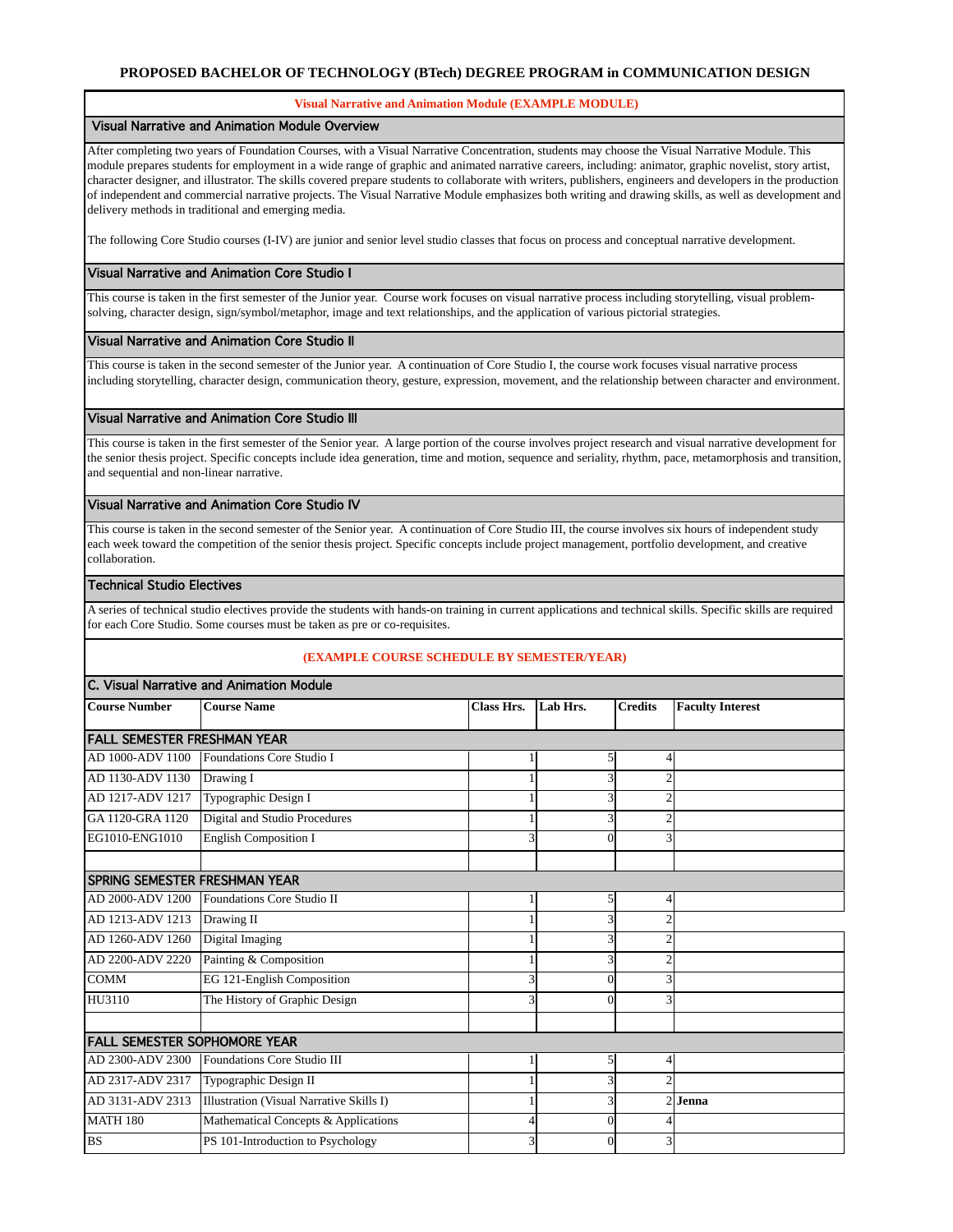### **PROPOSED BACHELOR OF TECHNOLOGY (BTech) DEGREE PROGRAM in COMMUNICATION DESIGN**

#### **Visual Narrative and Animation Module (EXAMPLE MODULE)**

#### Visual Narrative and Animation Module Overview

After completing two years of Foundation Courses, with a Visual Narrative Concentration, students may choose the Visual Narrative Module. This module prepares students for employment in a wide range of graphic and animated narrative careers, including: animator, graphic novelist, story artist, character designer, and illustrator. The skills covered prepare students to collaborate with writers, publishers, engineers and developers in the production of independent and commercial narrative projects. The Visual Narrative Module emphasizes both writing and drawing skills, as well as development and delivery methods in traditional and emerging media.

The following Core Studio courses (I-IV) are junior and senior level studio classes that focus on process and conceptual narrative development.

# Visual Narrative and Animation Core Studio I

This course is taken in the first semester of the Junior year. Course work focuses on visual narrative process including storytelling, visual problemsolving, character design, sign/symbol/metaphor, image and text relationships, and the application of various pictorial strategies.

### Visual Narrative and Animation Core Studio II

This course is taken in the second semester of the Junior year. A continuation of Core Studio I, the course work focuses visual narrative process including storytelling, character design, communication theory, gesture, expression, movement, and the relationship between character and environment.

# Visual Narrative and Animation Core Studio III

This course is taken in the first semester of the Senior year. A large portion of the course involves project research and visual narrative development for the senior thesis project. Specific concepts include idea generation, time and motion, sequence and seriality, rhythm, pace, metamorphosis and transition, and sequential and non-linear narrative.

# Visual Narrative and Animation Core Studio IV

This course is taken in the second semester of the Senior year. A continuation of Core Studio III, the course involves six hours of independent study each week toward the competition of the senior thesis project. Specific concepts include project management, portfolio development, and creative collaboration.

### Technical Studio Electives

A series of technical studio electives provide the students with hands-on training in current applications and technical skills. Specific skills are required for each Core Studio. Some courses must be taken as pre or co-requisites.

# **(EXAMPLE COURSE SCHEDULE BY SEMESTER/YEAR)**

| C. Visual Narrative and Animation Module |                                          |                   |          |                |                         |  |  |  |
|------------------------------------------|------------------------------------------|-------------------|----------|----------------|-------------------------|--|--|--|
| <b>Course Number</b>                     | <b>Course Name</b>                       | <b>Class Hrs.</b> | Lab Hrs. | <b>Credits</b> | <b>Faculty Interest</b> |  |  |  |
| <b>FALL SEMESTER FRESHMAN YEAR</b>       |                                          |                   |          |                |                         |  |  |  |
| AD 1000-ADV 1100                         | Foundations Core Studio I                |                   | 5        |                |                         |  |  |  |
| AD 1130-ADV 1130                         | Drawing I                                |                   |          |                |                         |  |  |  |
| AD 1217-ADV 1217                         | Typographic Design I                     |                   |          |                |                         |  |  |  |
| GA 1120-GRA 1120                         | Digital and Studio Procedures            |                   | 3        |                |                         |  |  |  |
| EG1010-ENG1010                           | <b>English Composition I</b>             | 3                 | $\Omega$ | 3              |                         |  |  |  |
|                                          |                                          |                   |          |                |                         |  |  |  |
| <b>SPRING SEMESTER FRESHMAN YEAR</b>     |                                          |                   |          |                |                         |  |  |  |
| AD 2000-ADV 1200                         | Foundations Core Studio II               |                   | 5        |                |                         |  |  |  |
| AD 1213-ADV 1213                         | Drawing II                               |                   |          |                |                         |  |  |  |
| AD 1260-ADV 1260                         | Digital Imaging                          |                   | 3        |                |                         |  |  |  |
| AD 2200-ADV 2220                         | Painting & Composition                   |                   | 3        |                |                         |  |  |  |
| <b>COMM</b>                              | EG 121-English Composition               |                   | $\Omega$ |                |                         |  |  |  |
| HU3110                                   | The History of Graphic Design            |                   | $\Omega$ |                |                         |  |  |  |
|                                          |                                          |                   |          |                |                         |  |  |  |
| <b>FALL SEMESTER SOPHOMORE YEAR</b>      |                                          |                   |          |                |                         |  |  |  |
| AD 2300-ADV 2300                         | Foundations Core Studio III              |                   | 5        |                |                         |  |  |  |
| AD 2317-ADV 2317                         | Typographic Design II                    |                   |          |                |                         |  |  |  |
| AD 3131-ADV 2313                         | Illustration (Visual Narrative Skills I) |                   | 3        |                | 2 Jenna                 |  |  |  |
| <b>MATH 180</b>                          | Mathematical Concepts & Applications     |                   | $\Omega$ |                |                         |  |  |  |
| <b>BS</b>                                | PS 101-Introduction to Psychology        |                   | $\Omega$ | 3              |                         |  |  |  |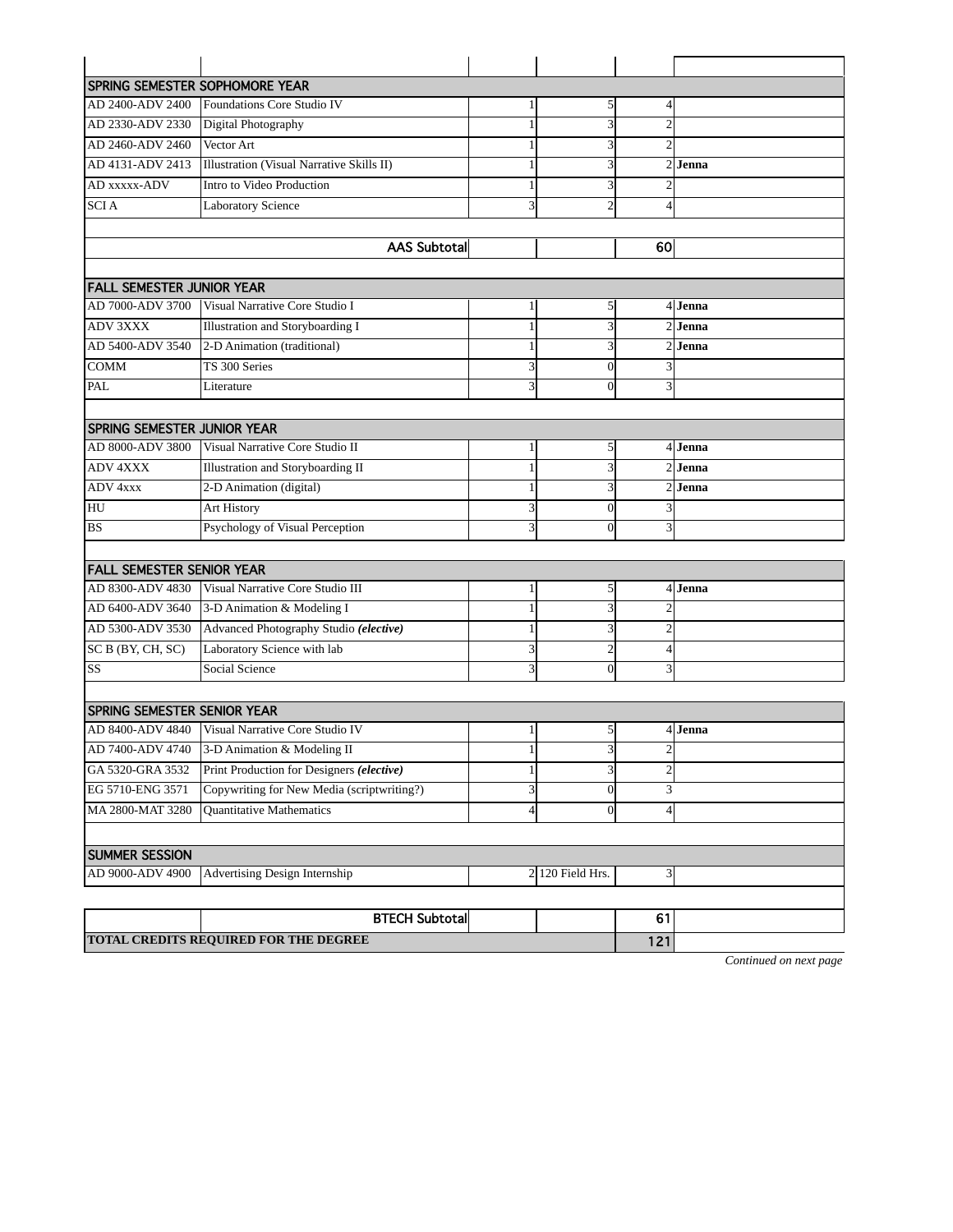|                                    | <b>SPRING SEMESTER SOPHOMORE YEAR</b>            |                         |                         |                         |           |  |  |
|------------------------------------|--------------------------------------------------|-------------------------|-------------------------|-------------------------|-----------|--|--|
| AD 2400-ADV 2400                   | Foundations Core Studio IV                       | 1                       | 5                       | 4                       |           |  |  |
| AD 2330-ADV 2330                   | Digital Photography                              | 1                       |                         | $\overline{2}$          |           |  |  |
| AD 2460-ADV 2460                   | Vector Art                                       | 1                       |                         | $\overline{c}$          |           |  |  |
| AD 4131-ADV 2413                   | <b>Illustration (Visual Narrative Skills II)</b> | 1                       | 3                       |                         | $2$ Jenna |  |  |
| AD xxxxx-ADV                       | Intro to Video Production                        | 1                       | 3                       |                         |           |  |  |
| <b>SCIA</b>                        | Laboratory Science                               | 3                       | $\overline{c}$          | 4                       |           |  |  |
|                                    |                                                  |                         |                         |                         |           |  |  |
|                                    | AAS Subtotal                                     |                         |                         | 60                      |           |  |  |
|                                    |                                                  |                         |                         |                         |           |  |  |
| <b>FALL SEMESTER JUNIOR YEAR</b>   |                                                  |                         |                         |                         |           |  |  |
| AD 7000-ADV 3700                   | Visual Narrative Core Studio I                   | 1                       | $\mathfrak{h}$          |                         | 4 Jenna   |  |  |
| <b>ADV 3XXX</b>                    | <b>Illustration and Storyboarding I</b>          | $\mathbf{1}$            |                         |                         | 2l Jenna  |  |  |
| AD 5400-ADV 3540                   | 2-D Animation (traditional)                      | 1                       | 3                       |                         | 2l Jenna  |  |  |
| COMM                               | TS 300 Series                                    | 3                       | $\Omega$                | 3                       |           |  |  |
| PAL                                | Literature                                       | $\overline{\mathbf{3}}$ | $\theta$                | 3                       |           |  |  |
|                                    |                                                  |                         |                         |                         |           |  |  |
| <b>SPRING SEMESTER JUNIOR YEAR</b> |                                                  |                         |                         |                         |           |  |  |
| AD 8000-ADV 3800                   | Visual Narrative Core Studio II                  | $\mathbf{1}$            | $\mathfrak{g}$          |                         | 4 Jenna   |  |  |
| <b>ADV 4XXX</b>                    | Illustration and Storyboarding II                |                         | 3                       | 2                       | Jenna     |  |  |
| ADV 4xxx                           | 2-D Animation (digital)                          | 1                       | 3                       | 2                       | Jenna     |  |  |
| HU                                 | <b>Art History</b>                               | $\overline{\mathbf{3}}$ | $\Omega$                | 3                       |           |  |  |
| <b>BS</b>                          | Psychology of Visual Perception                  | 3                       | $\Omega$                | 3                       |           |  |  |
|                                    |                                                  |                         |                         |                         |           |  |  |
| <b>FALL SEMESTER SENIOR YEAR</b>   |                                                  |                         |                         |                         |           |  |  |
| AD 8300-ADV 4830                   | Visual Narrative Core Studio III                 | 1                       | 5                       |                         | 4 Jenna   |  |  |
| AD 6400-ADV 3640                   | 3-D Animation & Modeling I                       | 1                       | 3                       |                         |           |  |  |
| AD 5300-ADV 3530                   | Advanced Photography Studio (elective)           | 1                       | 3                       | 2                       |           |  |  |
| SC B (BY, CH, SC)                  | Laboratory Science with lab                      | 3                       | $\overline{c}$          | 4                       |           |  |  |
| $\overline{\text{SS}}$             | Social Science                                   | 3                       | $\theta$                | 3                       |           |  |  |
|                                    |                                                  |                         |                         |                         |           |  |  |
| <b>SPRING SEMESTER SENIOR YEAR</b> |                                                  |                         |                         |                         |           |  |  |
| AD 8400-ADV 4840                   | Visual Narrative Core Studio IV                  | $\mathbf{1}$            | 5 <sup>1</sup>          |                         | 4 Jenna   |  |  |
|                                    | AD 7400-ADV 4740 3-D Animation & Modeling II     | 1                       | $\overline{\mathbf{3}}$ | 2                       |           |  |  |
| GA 5320-GRA 3532                   | Print Production for Designers (elective)        | 1                       | 3                       | $\overline{\mathbf{c}}$ |           |  |  |
| EG 5710-ENG 3571                   | Copywriting for New Media (scriptwriting?)       | 3                       | $\mathbf{0}$            | 3                       |           |  |  |
| MA 2800-MAT 3280                   | Quantitative Mathematics                         | $\overline{4}$          | $\theta$                | 4                       |           |  |  |
|                                    |                                                  |                         |                         |                         |           |  |  |
| <b>SUMMER SESSION</b>              |                                                  |                         |                         |                         |           |  |  |
| AD 9000-ADV 4900                   | Advertising Design Internship                    |                         | $2$ 120 Field Hrs.      | 3                       |           |  |  |
|                                    |                                                  |                         |                         |                         |           |  |  |
| <b>BTECH Subtotal</b><br>61        |                                                  |                         |                         |                         |           |  |  |
|                                    | TOTAL CREDITS REQUIRED FOR THE DEGREE            |                         |                         | 121                     |           |  |  |
|                                    |                                                  |                         |                         |                         |           |  |  |

*Continued on next page*